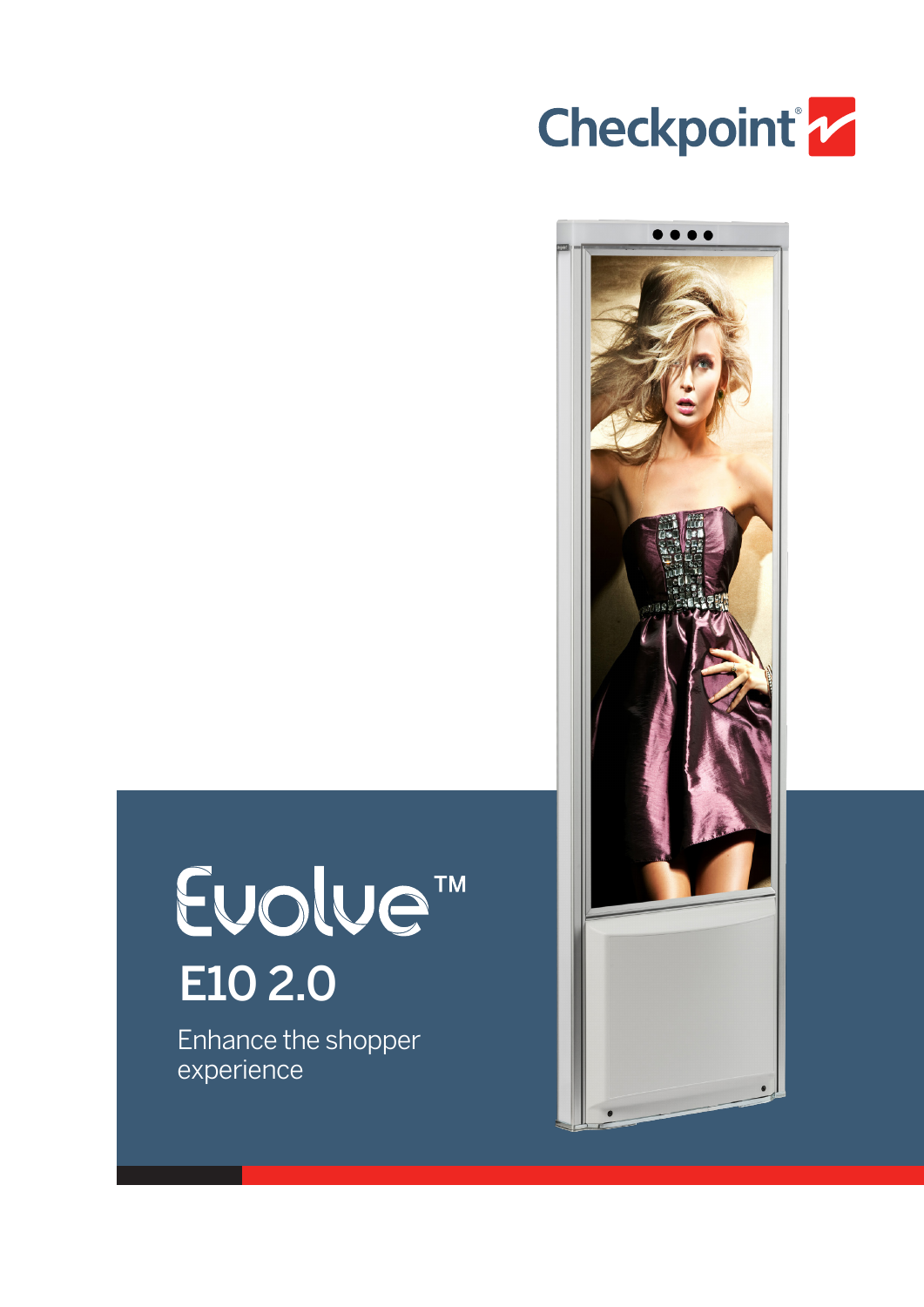



# Evolve<sup>™</sup> E10 2.0

Enhance the shopper experience